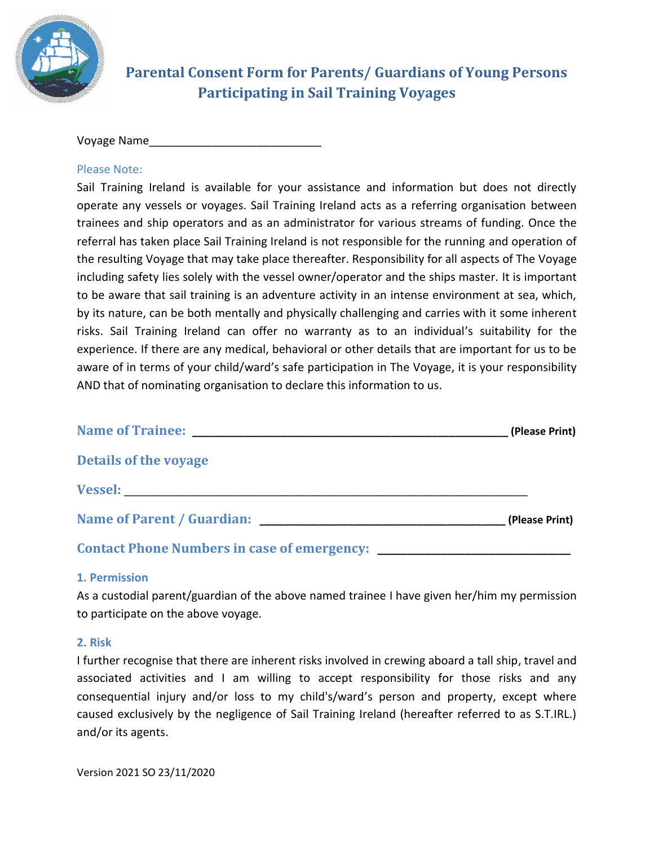

# **Parental Consent Form for Parents/ Guardians of Young Persons Participating in Sail Training Voyages**

Voyage Name\_\_\_\_\_\_\_\_\_\_\_\_\_\_\_\_\_\_\_\_\_\_\_\_\_\_\_

# Please Note:

Sail Training Ireland is available for your assistance and information but does not directly operate any vessels or voyages. Sail Training Ireland acts as a referring organisation between trainees and ship operators and as an administrator for various streams of funding. Once the referral has taken place Sail Training Ireland is not responsible for the running and operation of the resulting Voyage that may take place thereafter. Responsibility for all aspects of The Voyage including safety lies solely with the vessel owner/operator and the ships master. It is important to be aware that sail training is an adventure activity in an intense environment at sea, which, by its nature, can be both mentally and physically challenging and carries with it some inherent risks. Sail Training Ireland can offer no warranty as to an individual's suitability for the experience. If there are any medical, behavioral or other details that are important for us to be aware of in terms of your child/ward's safe participation in The Voyage, it is your responsibility AND that of nominating organisation to declare this information to us.

|                              | (Please Print) |
|------------------------------|----------------|
| <b>Details of the voyage</b> |                |
|                              |                |
|                              | (Please Print) |
|                              |                |

## **1. Permission**

As a custodial parent/guardian of the above named trainee I have given her/him my permission to participate on the above voyage.

## **2. Risk**

I further recognise that there are inherent risks involved in crewing aboard a tall ship, travel and associated activities and I am willing to accept responsibility for those risks and any consequential injury and/or loss to my child's/ward's person and property, except where caused exclusively by the negligence of Sail Training Ireland (hereafter referred to as S.T.IRL.) and/or its agents.